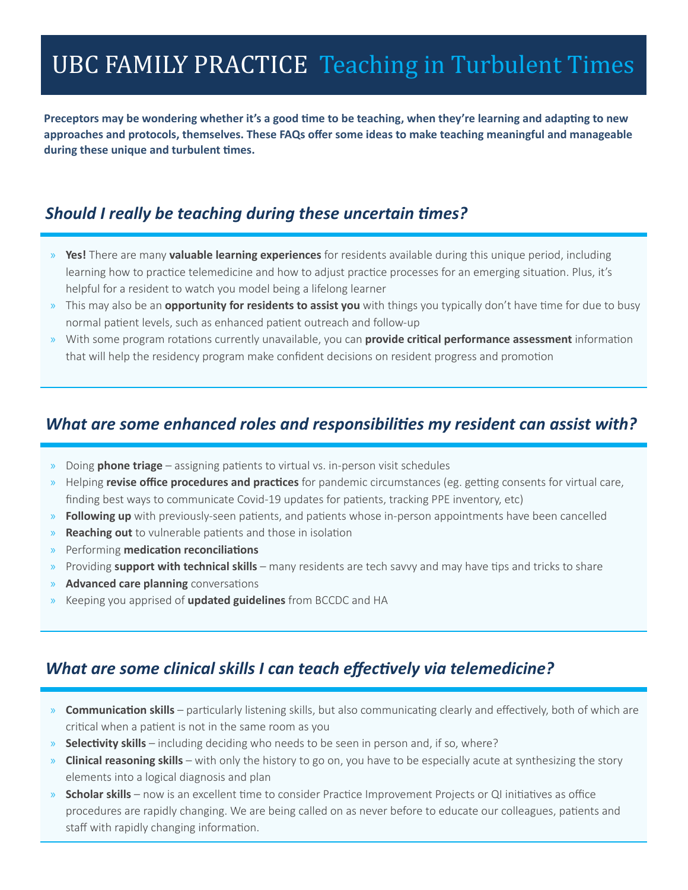# UBC FAMILY PRACTICE Teaching in Turbulent Times

**Preceptors may be wondering whether it's a good time to be teaching, when they're learning and adapting to new approaches and protocols, themselves. These FAQs offer some ideas to make teaching meaningful and manageable during these unique and turbulent times.**

#### *Should I really be teaching during these uncertain times?*

- » **Yes!** There are many **valuable learning experiences** for residents available during this unique period, including learning how to practice telemedicine and how to adjust practice processes for an emerging situation. Plus, it's helpful for a resident to watch you model being a lifelong learner
- » This may also be an **opportunity for residents to assist you** with things you typically don't have time for due to busy normal patient levels, such as enhanced patient outreach and follow-up
- » With some program rotations currently unavailable, you can **provide critical performance assessment** information that will help the residency program make confident decisions on resident progress and promotion

#### *What are some enhanced roles and responsibilities my resident can assist with?*

- » Doing **phone triage** assigning patients to virtual vs. in-person visit schedules
- » Helping **revise office procedures and practices** for pandemic circumstances (eg. getting consents for virtual care, finding best ways to communicate Covid-19 updates for patients, tracking PPE inventory, etc)
- » **Following up** with previously-seen patients, and patients whose in-person appointments have been cancelled
- » **Reaching out** to vulnerable patients and those in isolation
- » Performing **medication reconciliations**
- » Providing **support with technical skills** many residents are tech savvy and may have tips and tricks to share
- » **Advanced care planning** conversations
- » Keeping you apprised of **updated guidelines** from BCCDC and HA

#### *What are some clinical skills I can teach effectively via telemedicine?*

- » **[Communication skills](https://portal.cfpc.ca/resourcesdocs/uploadedFiles/Education/Communication%20Skills.pdf)**  particularly listening skills, but also communicating clearly and effectively, both of which are critical when a patient is not in the same room as you
- » **[Selectivity](https://portal.cfpc.ca/resourcesdocs/uploadedFiles/Education/Selectivity.pdf) skills** including deciding who needs to be seen in person and, if so, where?
- » **[Clinical reasoning](https://portal.cfpc.ca/resourcesdocs/uploadedFiles/Education/Clinical%20Reasoning%20Skills.pdf) skills** with only the history to go on, you have to be especially acute at synthesizing the story elements into a logical diagnosis and plan
- » **[Scholar](https://ubccpd.ca/sites/ubccpd.ca/files/icons/elearning/CanMEDS-Family-Medicine-2017-ENG.pdf) skills** now is an excellent time to consider Practice Improvement Projects or QI initiatives as office procedures are rapidly changing. We are being called on as never before to educate our colleagues, patients and staff with rapidly changing information.